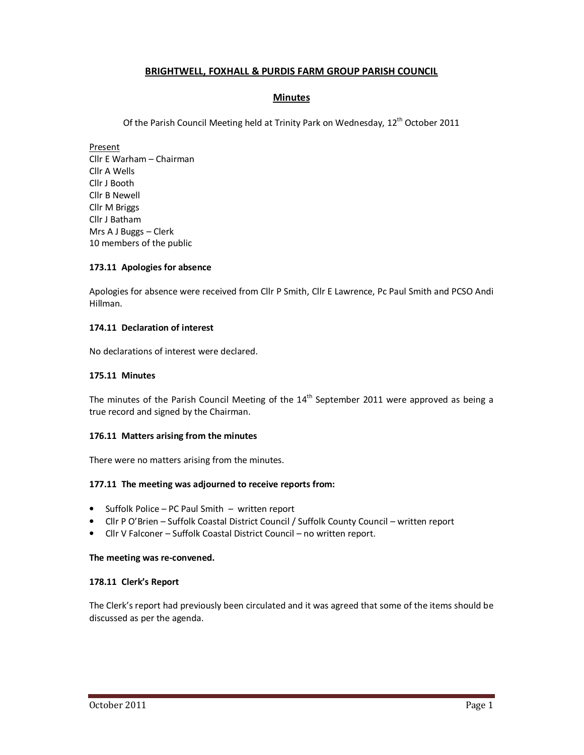# **BRIGHTWELL, FOXHALL & PURDIS FARM GROUP PARISH COUNCIL**

# **Minutes**

Of the Parish Council Meeting held at Trinity Park on Wednesday, 12<sup>th</sup> October 2011

Present Cllr E Warham – Chairman Cllr A Wells Cllr J Booth Cllr B Newell Cllr M Briggs Cllr J Batham Mrs A J Buggs – Clerk 10 members of the public

# **173.11 Apologies for absence**

Apologies for absence were received from Cllr P Smith, Cllr E Lawrence, Pc Paul Smith and PCSO Andi Hillman.

## **174.11 Declaration of interest**

No declarations of interest were declared.

## **175.11 Minutes**

The minutes of the Parish Council Meeting of the  $14<sup>th</sup>$  September 2011 were approved as being a true record and signed by the Chairman.

### **176.11 Matters arising from the minutes**

There were no matters arising from the minutes.

### **177.11 The meeting was adjourned to receive reports from:**

- Suffolk Police PC Paul Smith written report
- Cllr P O'Brien Suffolk Coastal District Council / Suffolk County Council written report
- Cllr V Falconer Suffolk Coastal District Council no written report.

### **The meeting was re-convened.**

### **178.11 Clerk's Report**

The Clerk's report had previously been circulated and it was agreed that some of the items should be discussed as per the agenda.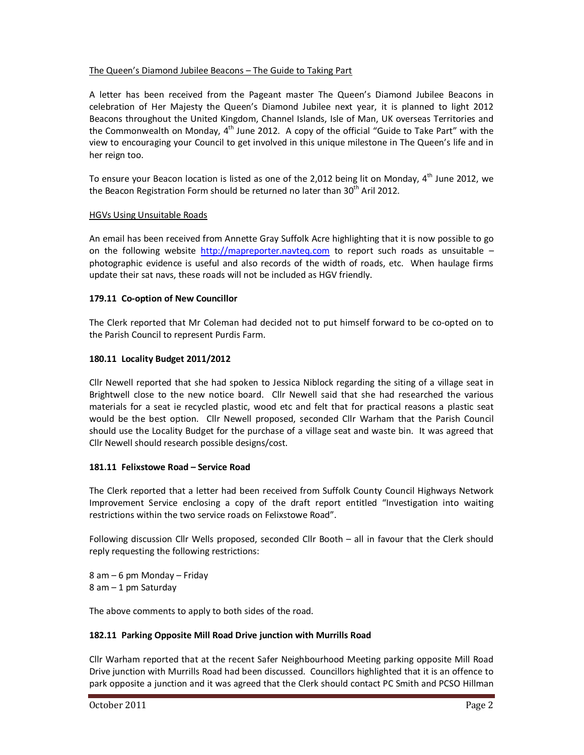# The Queen's Diamond Jubilee Beacons – The Guide to Taking Part

A letter has been received from the Pageant master The Queen's Diamond Jubilee Beacons in celebration of Her Majesty the Queen's Diamond Jubilee next year, it is planned to light 2012 Beacons throughout the United Kingdom, Channel Islands, Isle of Man, UK overseas Territories and the Commonwealth on Monday, 4<sup>th</sup> June 2012. A copy of the official "Guide to Take Part" with the view to encouraging your Council to get involved in this unique milestone in The Queen's life and in her reign too.

To ensure your Beacon location is listed as one of the 2,012 being lit on Monday, 4<sup>th</sup> June 2012, we the Beacon Registration Form should be returned no later than 30<sup>th</sup> Aril 2012.

# HGVs Using Unsuitable Roads

An email has been received from Annette Gray Suffolk Acre highlighting that it is now possible to go on the following website http://mapreporter.navteq.com to report such roads as unsuitable  $$ photographic evidence is useful and also records of the width of roads, etc. When haulage firms update their sat navs, these roads will not be included as HGV friendly.

# **179.11 Co-option of New Councillor**

The Clerk reported that Mr Coleman had decided not to put himself forward to be co-opted on to the Parish Council to represent Purdis Farm.

## **180.11 Locality Budget 2011/2012**

Cllr Newell reported that she had spoken to Jessica Niblock regarding the siting of a village seat in Brightwell close to the new notice board. Cllr Newell said that she had researched the various materials for a seat ie recycled plastic, wood etc and felt that for practical reasons a plastic seat would be the best option. Cllr Newell proposed, seconded Cllr Warham that the Parish Council should use the Locality Budget for the purchase of a village seat and waste bin. It was agreed that Cllr Newell should research possible designs/cost.

### **181.11 Felixstowe Road – Service Road**

The Clerk reported that a letter had been received from Suffolk County Council Highways Network Improvement Service enclosing a copy of the draft report entitled "Investigation into waiting restrictions within the two service roads on Felixstowe Road".

Following discussion Cllr Wells proposed, seconded Cllr Booth – all in favour that the Clerk should reply requesting the following restrictions:

8 am – 6 pm Monday – Friday 8 am – 1 pm Saturday

The above comments to apply to both sides of the road.

### **182.11 Parking Opposite Mill Road Drive junction with Murrills Road**

Cllr Warham reported that at the recent Safer Neighbourhood Meeting parking opposite Mill Road Drive junction with Murrills Road had been discussed. Councillors highlighted that it is an offence to park opposite a junction and it was agreed that the Clerk should contact PC Smith and PCSO Hillman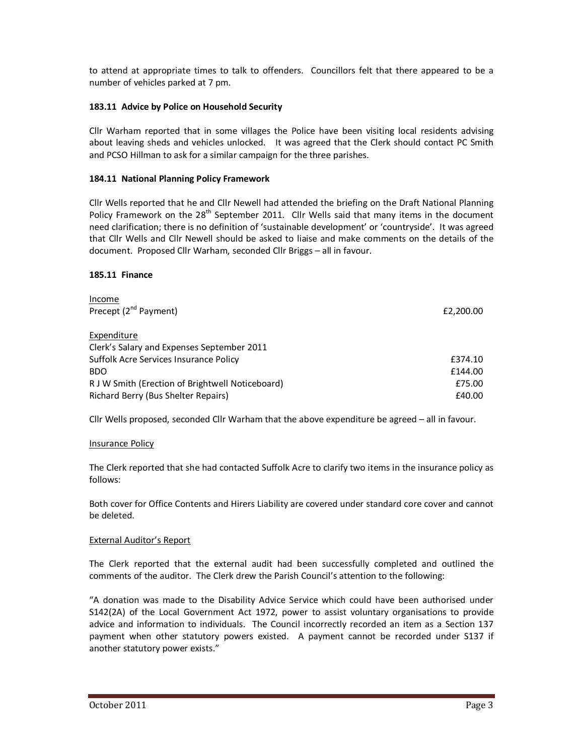to attend at appropriate times to talk to offenders. Councillors felt that there appeared to be a number of vehicles parked at 7 pm.

# **183.11 Advice by Police on Household Security**

Cllr Warham reported that in some villages the Police have been visiting local residents advising about leaving sheds and vehicles unlocked. It was agreed that the Clerk should contact PC Smith and PCSO Hillman to ask for a similar campaign for the three parishes.

# **184.11 National Planning Policy Framework**

Cllr Wells reported that he and Cllr Newell had attended the briefing on the Draft National Planning Policy Framework on the  $28<sup>th</sup>$  September 2011. Cllr Wells said that many items in the document need clarification; there is no definition of 'sustainable development' or 'countryside'. It was agreed that Cllr Wells and Cllr Newell should be asked to liaise and make comments on the details of the document. Proposed Cllr Warham, seconded Cllr Briggs – all in favour.

# **185.11 Finance**

| Income                                           |           |
|--------------------------------------------------|-----------|
| Precept (2 <sup>nd</sup> Payment)                | £2,200.00 |
| Expenditure                                      |           |
| Clerk's Salary and Expenses September 2011       |           |
| Suffolk Acre Services Insurance Policy           | £374.10   |
| <b>BDO</b>                                       | £144.00   |
| R J W Smith (Erection of Brightwell Noticeboard) | £75.00    |
| Richard Berry (Bus Shelter Repairs)              | £40.00    |

Cllr Wells proposed, seconded Cllr Warham that the above expenditure be agreed – all in favour.

### Insurance Policy

The Clerk reported that she had contacted Suffolk Acre to clarify two items in the insurance policy as follows:

Both cover for Office Contents and Hirers Liability are covered under standard core cover and cannot be deleted.

# External Auditor's Report

The Clerk reported that the external audit had been successfully completed and outlined the comments of the auditor. The Clerk drew the Parish Council's attention to the following:

"A donation was made to the Disability Advice Service which could have been authorised under S142(2A) of the Local Government Act 1972, power to assist voluntary organisations to provide advice and information to individuals. The Council incorrectly recorded an item as a Section 137 payment when other statutory powers existed. A payment cannot be recorded under S137 if another statutory power exists."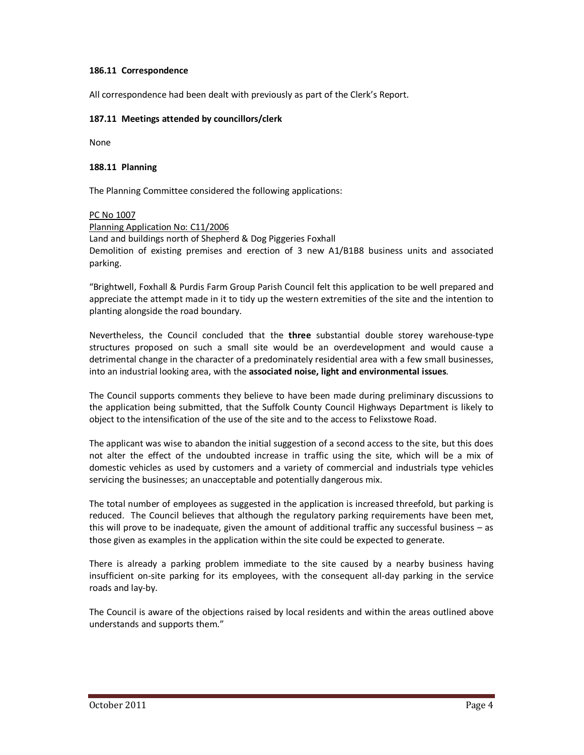## **186.11 Correspondence**

All correspondence had been dealt with previously as part of the Clerk's Report.

## **187.11 Meetings attended by councillors/clerk**

None

### **188.11 Planning**

The Planning Committee considered the following applications:

### PC No 1007

Planning Application No: C11/2006 Land and buildings north of Shepherd & Dog Piggeries Foxhall Demolition of existing premises and erection of 3 new A1/B1B8 business units and associated parking.

"Brightwell, Foxhall & Purdis Farm Group Parish Council felt this application to be well prepared and appreciate the attempt made in it to tidy up the western extremities of the site and the intention to planting alongside the road boundary.

Nevertheless, the Council concluded that the **three** substantial double storey warehouse-type structures proposed on such a small site would be an overdevelopment and would cause a detrimental change in the character of a predominately residential area with a few small businesses, into an industrial looking area, with the **associated noise, light and environmental issues**.

The Council supports comments they believe to have been made during preliminary discussions to the application being submitted, that the Suffolk County Council Highways Department is likely to object to the intensification of the use of the site and to the access to Felixstowe Road.

The applicant was wise to abandon the initial suggestion of a second access to the site, but this does not alter the effect of the undoubted increase in traffic using the site, which will be a mix of domestic vehicles as used by customers and a variety of commercial and industrials type vehicles servicing the businesses; an unacceptable and potentially dangerous mix.

The total number of employees as suggested in the application is increased threefold, but parking is reduced. The Council believes that although the regulatory parking requirements have been met, this will prove to be inadequate, given the amount of additional traffic any successful business – as those given as examples in the application within the site could be expected to generate.

There is already a parking problem immediate to the site caused by a nearby business having insufficient on-site parking for its employees, with the consequent all-day parking in the service roads and lay-by.

The Council is aware of the objections raised by local residents and within the areas outlined above understands and supports them."